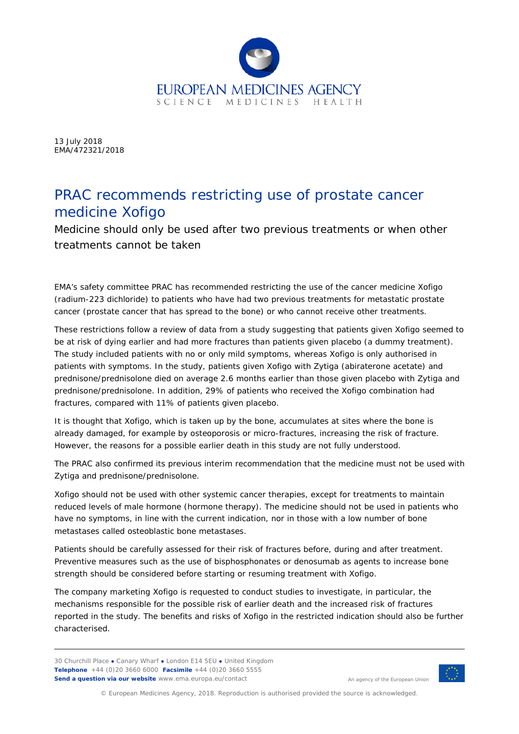

13 July 2018 EMA/472321/2018

## PRAC recommends restricting use of prostate cancer medicine Xofigo

Medicine should only be used after two previous treatments or when other treatments cannot be taken

EMA's safety committee PRAC has recommended restricting the use of the cancer medicine Xofigo (radium-223 dichloride) to patients who have had two previous treatments for metastatic prostate cancer (prostate cancer that has spread to the bone) or who cannot receive other treatments.

These restrictions follow a review of data from a study suggesting that patients given Xofigo seemed to be at risk of dying earlier and had more fractures than patients given placebo (a dummy treatment). The study included patients with no or only mild symptoms, whereas Xofigo is only authorised in patients with symptoms. In the study, patients given Xofigo with Zytiga (abiraterone acetate) and prednisone/prednisolone died on average 2.6 months earlier than those given placebo with Zytiga and prednisone/prednisolone. In addition, 29% of patients who received the Xofigo combination had fractures, compared with 11% of patients given placebo.

It is thought that Xofigo, which is taken up by the bone, accumulates at sites where the bone is already damaged, for example by osteoporosis or micro-fractures, increasing the risk of fracture. However, the reasons for a possible earlier death in this study are not fully understood.

The PRAC also confirmed its previous interim recommendation that the medicine must not be used with Zytiga and prednisone/prednisolone.

Xofigo should not be used with other systemic cancer therapies, except for treatments to maintain reduced levels of male hormone (hormone therapy). The medicine should not be used in patients who have no symptoms, in line with the current indication, nor in those with a low number of bone metastases called osteoblastic bone metastases.

Patients should be carefully assessed for their risk of fractures before, during and after treatment. Preventive measures such as the use of bisphosphonates or denosumab as agents to increase bone strength should be considered before starting or resuming treatment with Xofigo.

The company marketing Xofigo is requested to conduct studies to investigate, in particular, the mechanisms responsible for the possible risk of earlier death and the increased risk of fractures reported in the study. The benefits and risks of Xofigo in the restricted indication should also be further characterised.

30 Churchill Place **●** Canary Wharf **●** London E14 5EU **●** United Kingdom **Telephone** +44 (0)20 3660 6000 **Facsimile** +44 (0)20 3660 5555 **Send a question via our website** www.ema.europa.eu/contact



An agency of the European Union

© European Medicines Agency, 2018. Reproduction is authorised provided the source is acknowledged.